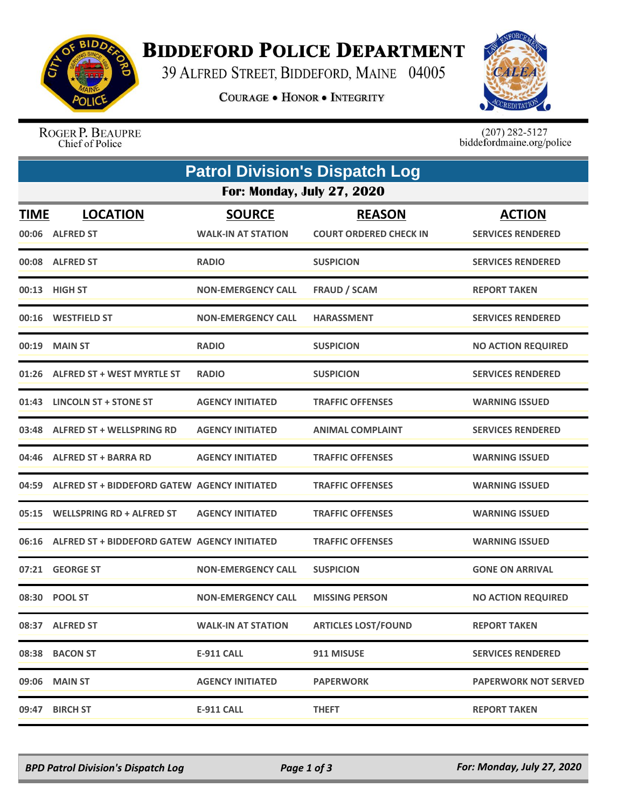

## **BIDDEFORD POLICE DEPARTMENT**

39 ALFRED STREET, BIDDEFORD, MAINE 04005

**COURAGE . HONOR . INTEGRITY** 



ROGER P. BEAUPRE Chief of Police

 $(207)$  282-5127<br>biddefordmaine.org/police

|             | <b>Patrol Division's Dispatch Log</b>              |                                            |                                                |                                           |  |  |  |  |
|-------------|----------------------------------------------------|--------------------------------------------|------------------------------------------------|-------------------------------------------|--|--|--|--|
|             | <b>For: Monday, July 27, 2020</b>                  |                                            |                                                |                                           |  |  |  |  |
| <b>TIME</b> | <b>LOCATION</b><br>00:06 ALFRED ST                 | <b>SOURCE</b><br><b>WALK-IN AT STATION</b> | <b>REASON</b><br><b>COURT ORDERED CHECK IN</b> | <b>ACTION</b><br><b>SERVICES RENDERED</b> |  |  |  |  |
|             | 00:08 ALFRED ST                                    | <b>RADIO</b>                               | <b>SUSPICION</b>                               | <b>SERVICES RENDERED</b>                  |  |  |  |  |
|             | 00:13 HIGH ST                                      | <b>NON-EMERGENCY CALL</b>                  | <b>FRAUD / SCAM</b>                            | <b>REPORT TAKEN</b>                       |  |  |  |  |
|             | 00:16 WESTFIELD ST                                 | <b>NON-EMERGENCY CALL</b>                  | <b>HARASSMENT</b>                              | <b>SERVICES RENDERED</b>                  |  |  |  |  |
| 00:19       | <b>MAIN ST</b>                                     | <b>RADIO</b>                               | <b>SUSPICION</b>                               | <b>NO ACTION REQUIRED</b>                 |  |  |  |  |
|             | 01:26 ALFRED ST + WEST MYRTLE ST                   | <b>RADIO</b>                               | <b>SUSPICION</b>                               | <b>SERVICES RENDERED</b>                  |  |  |  |  |
|             | 01:43 LINCOLN ST + STONE ST                        | <b>AGENCY INITIATED</b>                    | <b>TRAFFIC OFFENSES</b>                        | <b>WARNING ISSUED</b>                     |  |  |  |  |
| 03:48       | <b>ALFRED ST + WELLSPRING RD</b>                   | <b>AGENCY INITIATED</b>                    | <b>ANIMAL COMPLAINT</b>                        | <b>SERVICES RENDERED</b>                  |  |  |  |  |
|             | 04:46 ALFRED ST + BARRA RD                         | <b>AGENCY INITIATED</b>                    | <b>TRAFFIC OFFENSES</b>                        | <b>WARNING ISSUED</b>                     |  |  |  |  |
| 04:59       | ALFRED ST + BIDDEFORD GATEW AGENCY INITIATED       |                                            | <b>TRAFFIC OFFENSES</b>                        | <b>WARNING ISSUED</b>                     |  |  |  |  |
| 05:15       | <b>WELLSPRING RD + ALFRED ST</b>                   | <b>AGENCY INITIATED</b>                    | <b>TRAFFIC OFFENSES</b>                        | <b>WARNING ISSUED</b>                     |  |  |  |  |
|             | 06:16 ALFRED ST + BIDDEFORD GATEW AGENCY INITIATED |                                            | <b>TRAFFIC OFFENSES</b>                        | <b>WARNING ISSUED</b>                     |  |  |  |  |
|             | 07:21 GEORGE ST                                    | <b>NON-EMERGENCY CALL</b>                  | <b>SUSPICION</b>                               | <b>GONE ON ARRIVAL</b>                    |  |  |  |  |
|             | 08:30 POOL ST                                      | <b>NON-EMERGENCY CALL</b>                  | <b>MISSING PERSON</b>                          | <b>NO ACTION REQUIRED</b>                 |  |  |  |  |
|             | 08:37 ALFRED ST                                    | <b>WALK-IN AT STATION</b>                  | <b>ARTICLES LOST/FOUND</b>                     | <b>REPORT TAKEN</b>                       |  |  |  |  |
|             | 08:38 BACON ST                                     | <b>E-911 CALL</b>                          | 911 MISUSE                                     | <b>SERVICES RENDERED</b>                  |  |  |  |  |
|             | 09:06 MAIN ST                                      | <b>AGENCY INITIATED</b>                    | <b>PAPERWORK</b>                               | <b>PAPERWORK NOT SERVED</b>               |  |  |  |  |
|             | 09:47 BIRCH ST                                     | <b>E-911 CALL</b>                          | <b>THEFT</b>                                   | <b>REPORT TAKEN</b>                       |  |  |  |  |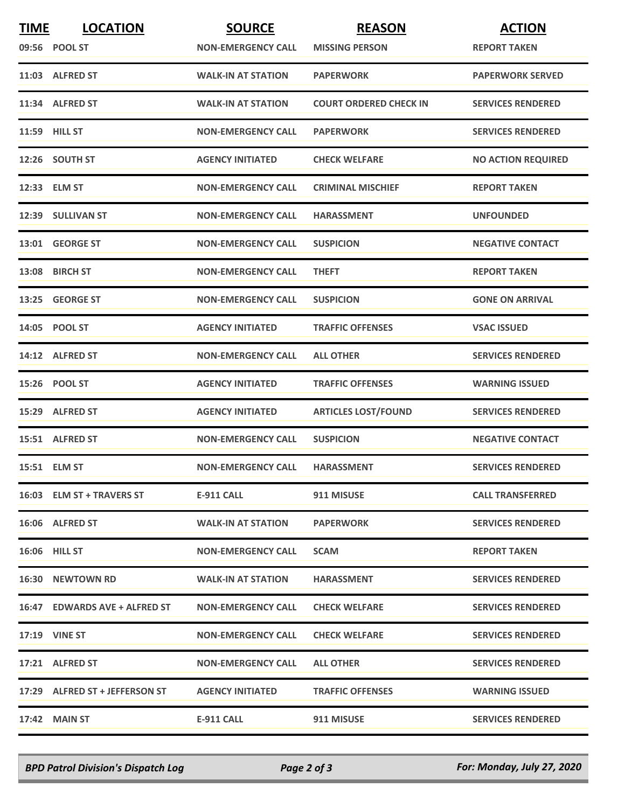| <b>TIME</b> | <b>LOCATION</b>                | <b>SOURCE</b>             | <b>REASON</b>                 | <b>ACTION</b>             |
|-------------|--------------------------------|---------------------------|-------------------------------|---------------------------|
|             | 09:56 POOL ST                  | <b>NON-EMERGENCY CALL</b> | <b>MISSING PERSON</b>         | <b>REPORT TAKEN</b>       |
|             | 11:03 ALFRED ST                | <b>WALK-IN AT STATION</b> | <b>PAPERWORK</b>              | <b>PAPERWORK SERVED</b>   |
|             | 11:34 ALFRED ST                | <b>WALK-IN AT STATION</b> | <b>COURT ORDERED CHECK IN</b> | <b>SERVICES RENDERED</b>  |
|             | <b>11:59 HILL ST</b>           | <b>NON-EMERGENCY CALL</b> | <b>PAPERWORK</b>              | <b>SERVICES RENDERED</b>  |
|             | 12:26 SOUTH ST                 | <b>AGENCY INITIATED</b>   | <b>CHECK WELFARE</b>          | <b>NO ACTION REQUIRED</b> |
|             | 12:33 ELM ST                   | <b>NON-EMERGENCY CALL</b> | <b>CRIMINAL MISCHIEF</b>      | <b>REPORT TAKEN</b>       |
|             | 12:39 SULLIVAN ST              | <b>NON-EMERGENCY CALL</b> | <b>HARASSMENT</b>             | <b>UNFOUNDED</b>          |
|             | 13:01 GEORGE ST                | <b>NON-EMERGENCY CALL</b> | <b>SUSPICION</b>              | <b>NEGATIVE CONTACT</b>   |
|             | 13:08 BIRCH ST                 | <b>NON-EMERGENCY CALL</b> | <b>THEFT</b>                  | <b>REPORT TAKEN</b>       |
| 13:25       | <b>GEORGE ST</b>               | <b>NON-EMERGENCY CALL</b> | <b>SUSPICION</b>              | <b>GONE ON ARRIVAL</b>    |
|             | 14:05 POOL ST                  | <b>AGENCY INITIATED</b>   | <b>TRAFFIC OFFENSES</b>       | <b>VSAC ISSUED</b>        |
|             | 14:12 ALFRED ST                | <b>NON-EMERGENCY CALL</b> | <b>ALL OTHER</b>              | <b>SERVICES RENDERED</b>  |
|             | 15:26 POOL ST                  | <b>AGENCY INITIATED</b>   | <b>TRAFFIC OFFENSES</b>       | <b>WARNING ISSUED</b>     |
|             | 15:29 ALFRED ST                | <b>AGENCY INITIATED</b>   | <b>ARTICLES LOST/FOUND</b>    | <b>SERVICES RENDERED</b>  |
|             | 15:51 ALFRED ST                | <b>NON-EMERGENCY CALL</b> | <b>SUSPICION</b>              | <b>NEGATIVE CONTACT</b>   |
|             | 15:51 ELM ST                   | <b>NON-EMERGENCY CALL</b> | <b>HARASSMENT</b>             | <b>SERVICES RENDERED</b>  |
|             | 16:03 ELM ST + TRAVERS ST      | E-911 CALL                | 911 MISUSE                    | <b>CALL TRANSFERRED</b>   |
|             | 16:06 ALFRED ST                | <b>WALK-IN AT STATION</b> | <b>PAPERWORK</b>              | <b>SERVICES RENDERED</b>  |
|             | <b>16:06 HILL ST</b>           | <b>NON-EMERGENCY CALL</b> | <b>SCAM</b>                   | <b>REPORT TAKEN</b>       |
|             | 16:30 NEWTOWN RD               | <b>WALK-IN AT STATION</b> | <b>HARASSMENT</b>             | <b>SERVICES RENDERED</b>  |
|             | 16:47 EDWARDS AVE + ALFRED ST  | <b>NON-EMERGENCY CALL</b> | <b>CHECK WELFARE</b>          | <b>SERVICES RENDERED</b>  |
|             | <b>17:19 VINE ST</b>           | <b>NON-EMERGENCY CALL</b> | <b>CHECK WELFARE</b>          | <b>SERVICES RENDERED</b>  |
|             | 17:21 ALFRED ST                | <b>NON-EMERGENCY CALL</b> | <b>ALL OTHER</b>              | <b>SERVICES RENDERED</b>  |
|             | 17:29 ALFRED ST + JEFFERSON ST | <b>AGENCY INITIATED</b>   | <b>TRAFFIC OFFENSES</b>       | <b>WARNING ISSUED</b>     |
|             | 17:42 MAIN ST                  | E-911 CALL                | 911 MISUSE                    | <b>SERVICES RENDERED</b>  |

*BPD Patrol Division's Dispatch Log Page 2 of 3 For: Monday, July 27, 2020*